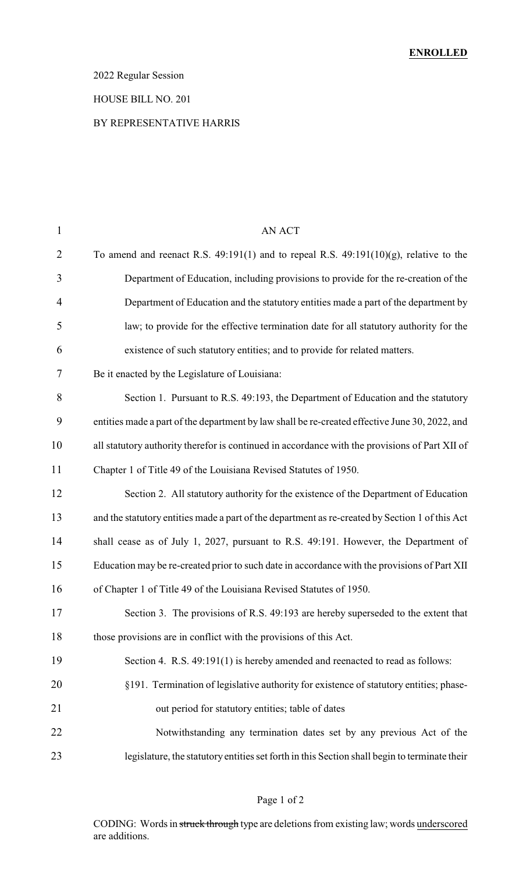### 2022 Regular Session

### HOUSE BILL NO. 201

#### BY REPRESENTATIVE HARRIS

| $\mathbf{1}$   | <b>AN ACT</b>                                                                                   |
|----------------|-------------------------------------------------------------------------------------------------|
| $\overline{2}$ | To amend and reenact R.S. $49:191(1)$ and to repeal R.S. $49:191(10)(g)$ , relative to the      |
| 3              | Department of Education, including provisions to provide for the re-creation of the             |
| $\overline{4}$ | Department of Education and the statutory entities made a part of the department by             |
| 5              | law; to provide for the effective termination date for all statutory authority for the          |
| 6              | existence of such statutory entities; and to provide for related matters.                       |
| 7              | Be it enacted by the Legislature of Louisiana:                                                  |
| 8              | Section 1. Pursuant to R.S. 49:193, the Department of Education and the statutory               |
| 9              | entities made a part of the department by law shall be re-created effective June 30, 2022, and  |
| 10             | all statutory authority therefor is continued in accordance with the provisions of Part XII of  |
| 11             | Chapter 1 of Title 49 of the Louisiana Revised Statutes of 1950.                                |
| 12             | Section 2. All statutory authority for the existence of the Department of Education             |
| 13             | and the statutory entities made a part of the department as re-created by Section 1 of this Act |
| 14             | shall cease as of July 1, 2027, pursuant to R.S. 49:191. However, the Department of             |
| 15             | Education may be re-created prior to such date in accordance with the provisions of Part XII    |
| 16             | of Chapter 1 of Title 49 of the Louisiana Revised Statutes of 1950.                             |
| 17             | Section 3. The provisions of R.S. 49:193 are hereby superseded to the extent that               |
| 18             | those provisions are in conflict with the provisions of this Act.                               |
| 19             | Section 4. R.S. 49:191(1) is hereby amended and reenacted to read as follows:                   |
| 20             | §191. Termination of legislative authority for existence of statutory entities; phase-          |
| 21             | out period for statutory entities; table of dates                                               |
| 22             | Notwithstanding any termination dates set by any previous Act of the                            |
| 23             | legislature, the statutory entities set forth in this Section shall begin to terminate their    |

Page 1 of 2

CODING: Words in struck through type are deletions from existing law; words underscored are additions.